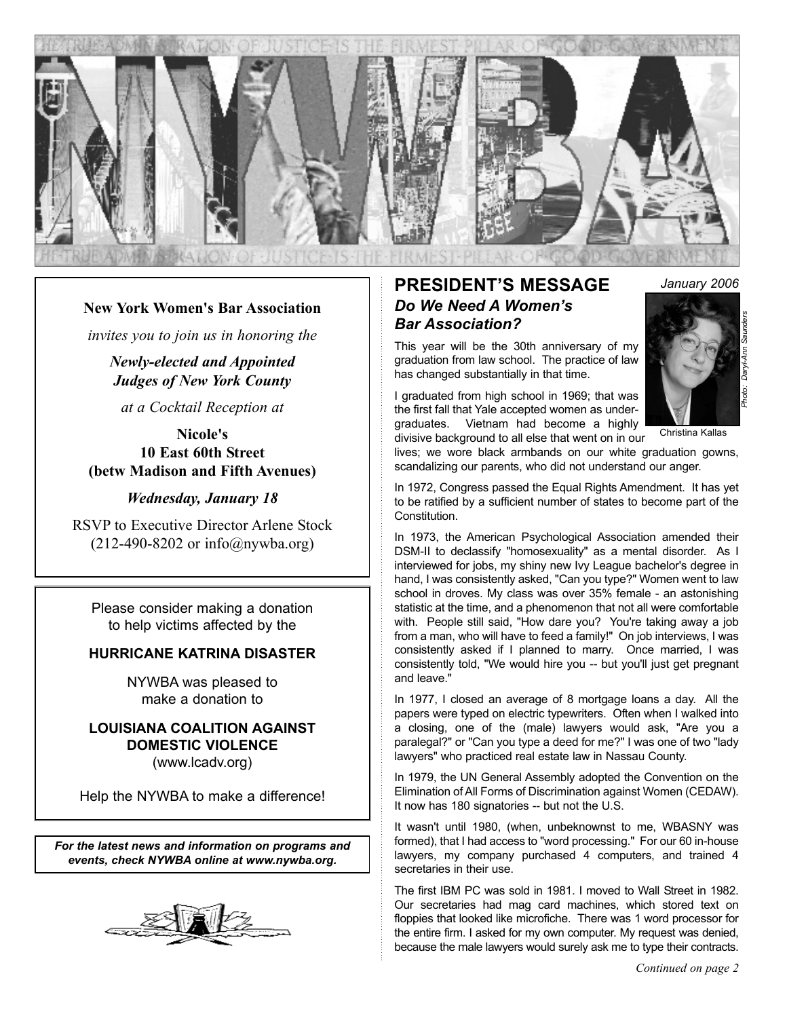

### **New York Women's Bar Association**

*invites you to join us in honoring the*

*Newly-elected and Appointed Judges of New York County*

*at a Cocktail Reception at*

**Nicole's 10 East 60th Street (betw Madison and Fifth Avenues)**

#### *Wednesday, January 18*

RSVP to Executive Director Arlene Stock  $(212-490-8202 \text{ or } \text{info}(a)$ nywba.org)

Please consider making a donation to help victims affected by the

### **HURRICANE KATRINA DISASTER**

NYWBA was pleased to make a donation to

### **LOUISIANA COALITION AGAINST DOMESTIC VIOLENCE** (www.lcadv.org)

Help the NYWBA to make a difference!

*For the latest news and information on programs and events, check NYWBA online at www.nywba.org.*



## **PRESIDENT'S MESSAGE** *January 2006 Do We Need A Women's Bar Association?*

This year will be the 30th anniversary of my graduation from law school. The practice of law has changed substantially in that time.

I graduated from high school in 1969; that was the first fall that Yale accepted women as undergraduates. Vietnam had become a highly divisive background to all else that went on in our



Christina Kallas

lives; we wore black armbands on our white graduation gowns, scandalizing our parents, who did not understand our anger.

In 1972, Congress passed the Equal Rights Amendment. It has yet to be ratified by a sufficient number of states to become part of the Constitution.

In 1973, the American Psychological Association amended their DSM-II to declassify "homosexuality" as a mental disorder. As I interviewed for jobs, my shiny new Ivy League bachelor's degree in hand, I was consistently asked, "Can you type?" Women went to law school in droves. My class was over 35% female - an astonishing statistic at the time, and a phenomenon that not all were comfortable with. People still said, "How dare you? You're taking away a job from a man, who will have to feed a family!" On job interviews, I was consistently asked if I planned to marry. Once married, I was consistently told, "We would hire you -- but you'll just get pregnant and leave."

In 1977, I closed an average of 8 mortgage loans a day. All the papers were typed on electric typewriters. Often when I walked into a closing, one of the (male) lawyers would ask, "Are you a paralegal?" or "Can you type a deed for me?" I was one of two "lady lawyers" who practiced real estate law in Nassau County.

In 1979, the UN General Assembly adopted the Convention on the Elimination of All Forms of Discrimination against Women (CEDAW). It now has 180 signatories -- but not the U.S.

It wasn't until 1980, (when, unbeknownst to me, WBASNY was formed), that I had access to "word processing." For our 60 in-house lawyers, my company purchased 4 computers, and trained 4 secretaries in their use.

The first IBM PC was sold in 1981. I moved to Wall Street in 1982. Our secretaries had mag card machines, which stored text on floppies that looked like microfiche. There was 1 word processor for the entire firm. I asked for my own computer. My request was denied, because the male lawyers would surely ask me to type their contracts.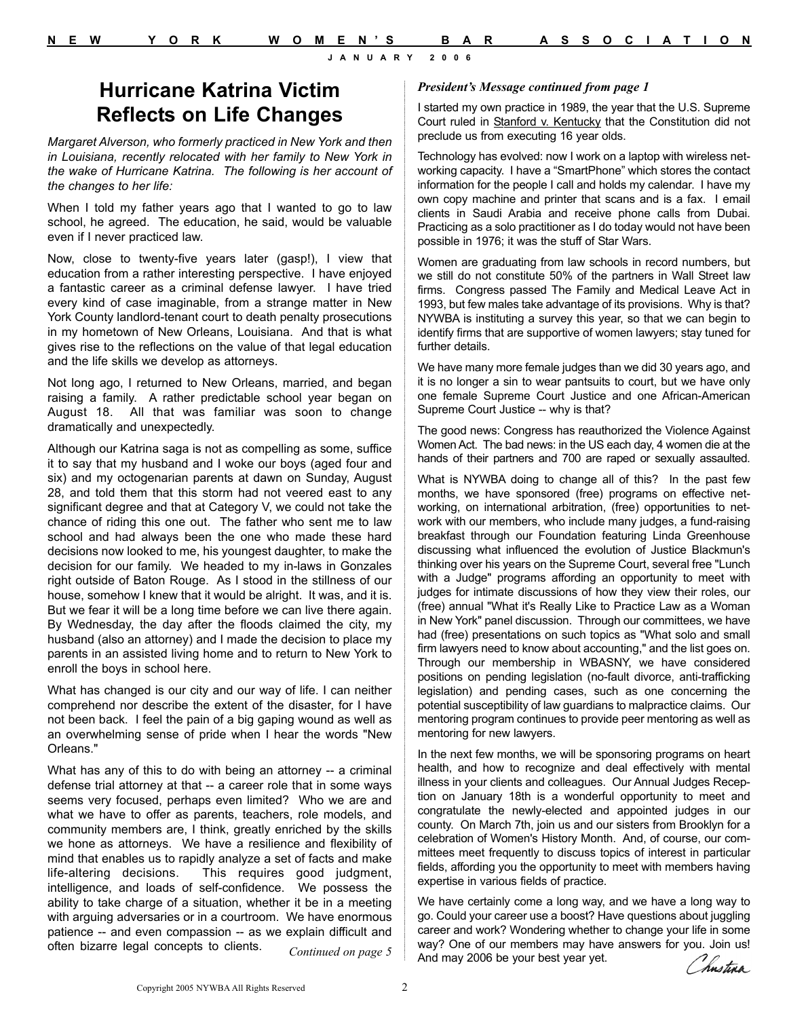## **Hurricane Katrina Victim Reflects on Life Changes**

*Margaret Alverson, who formerly practiced in New York and then in Louisiana, recently relocated with her family to New York in the wake of Hurricane Katrina. The following is her account of the changes to her life:*

When I told my father years ago that I wanted to go to law school, he agreed. The education, he said, would be valuable even if I never practiced law.

Now, close to twenty-five years later (gasp!), I view that education from a rather interesting perspective. I have enjoyed a fantastic career as a criminal defense lawyer. I have tried every kind of case imaginable, from a strange matter in New York County landlord-tenant court to death penalty prosecutions in my hometown of New Orleans, Louisiana. And that is what gives rise to the reflections on the value of that legal education and the life skills we develop as attorneys.

Not long ago, I returned to New Orleans, married, and began raising a family. A rather predictable school year began on August 18. All that was familiar was soon to change dramatically and unexpectedly.

Although our Katrina saga is not as compelling as some, suffice it to say that my husband and I woke our boys (aged four and six) and my octogenarian parents at dawn on Sunday, August 28, and told them that this storm had not veered east to any significant degree and that at Category V, we could not take the chance of riding this one out. The father who sent me to law school and had always been the one who made these hard decisions now looked to me, his youngest daughter, to make the decision for our family. We headed to my in-laws in Gonzales right outside of Baton Rouge. As I stood in the stillness of our house, somehow I knew that it would be alright. It was, and it is. But we fear it will be a long time before we can live there again. By Wednesday, the day after the floods claimed the city, my husband (also an attorney) and I made the decision to place my parents in an assisted living home and to return to New York to enroll the boys in school here.

What has changed is our city and our way of life. I can neither comprehend nor describe the extent of the disaster, for I have not been back. I feel the pain of a big gaping wound as well as an overwhelming sense of pride when I hear the words "New Orleans."

What has any of this to do with being an attorney -- a criminal defense trial attorney at that -- a career role that in some ways seems very focused, perhaps even limited? Who we are and what we have to offer as parents, teachers, role models, and community members are, I think, greatly enriched by the skills we hone as attorneys. We have a resilience and flexibility of mind that enables us to rapidly analyze a set of facts and make life-altering decisions. This requires good judgment, intelligence, and loads of self-confidence. We possess the ability to take charge of a situation, whether it be in a meeting with arguing adversaries or in a courtroom. We have enormous patience -- and even compassion -- as we explain difficult and often bizarre legal concepts to clients. *Continued on page 5*

Copyright 2005 NYWBA All Rights Reserved

#### *President's Message continued from page 1*

I started my own practice in 1989, the year that the U.S. Supreme Court ruled in Stanford v. Kentucky that the Constitution did not preclude us from executing 16 year olds.

Technology has evolved: now I work on a laptop with wireless networking capacity. I have a "SmartPhone" which stores the contact information for the people I call and holds my calendar. I have my own copy machine and printer that scans and is a fax. I email clients in Saudi Arabia and receive phone calls from Dubai. Practicing as a solo practitioner as I do today would not have been possible in 1976; it was the stuff of Star Wars.

Women are graduating from law schools in record numbers, but we still do not constitute 50% of the partners in Wall Street law firms. Congress passed The Family and Medical Leave Act in 1993, but few males take advantage of its provisions. Why is that? NYWBA is instituting a survey this year, so that we can begin to identify firms that are supportive of women lawyers; stay tuned for further details.

We have many more female judges than we did 30 years ago, and it is no longer a sin to wear pantsuits to court, but we have only one female Supreme Court Justice and one African-American Supreme Court Justice -- why is that?

The good news: Congress has reauthorized the Violence Against Women Act. The bad news: in the US each day, 4 women die at the hands of their partners and 700 are raped or sexually assaulted.

What is NYWBA doing to change all of this? In the past few months, we have sponsored (free) programs on effective networking, on international arbitration, (free) opportunities to network with our members, who include many judges, a fund-raising breakfast through our Foundation featuring Linda Greenhouse discussing what influenced the evolution of Justice Blackmun's thinking over his years on the Supreme Court, several free "Lunch with a Judge" programs affording an opportunity to meet with judges for intimate discussions of how they view their roles, our (free) annual "What it's Really Like to Practice Law as a Woman in New York" panel discussion. Through our committees, we have had (free) presentations on such topics as "What solo and small firm lawyers need to know about accounting," and the list goes on. Through our membership in WBASNY, we have considered positions on pending legislation (no-fault divorce, anti-trafficking legislation) and pending cases, such as one concerning the potential susceptibility of law guardians to malpractice claims. Our mentoring program continues to provide peer mentoring as well as mentoring for new lawyers.

In the next few months, we will be sponsoring programs on heart health, and how to recognize and deal effectively with mental illness in your clients and colleagues. Our Annual Judges Reception on January 18th is a wonderful opportunity to meet and congratulate the newly-elected and appointed judges in our county. On March 7th, join us and our sisters from Brooklyn for a celebration of Women's History Month. And, of course, our committees meet frequently to discuss topics of interest in particular fields, affording you the opportunity to meet with members having expertise in various fields of practice.

We have certainly come a long way, and we have a long way to go. Could your career use a boost? Have questions about juggling career and work? Wondering whether to change your life in some way? One of our members may have answers for you. Join us! And may 2006 be your best year yet.

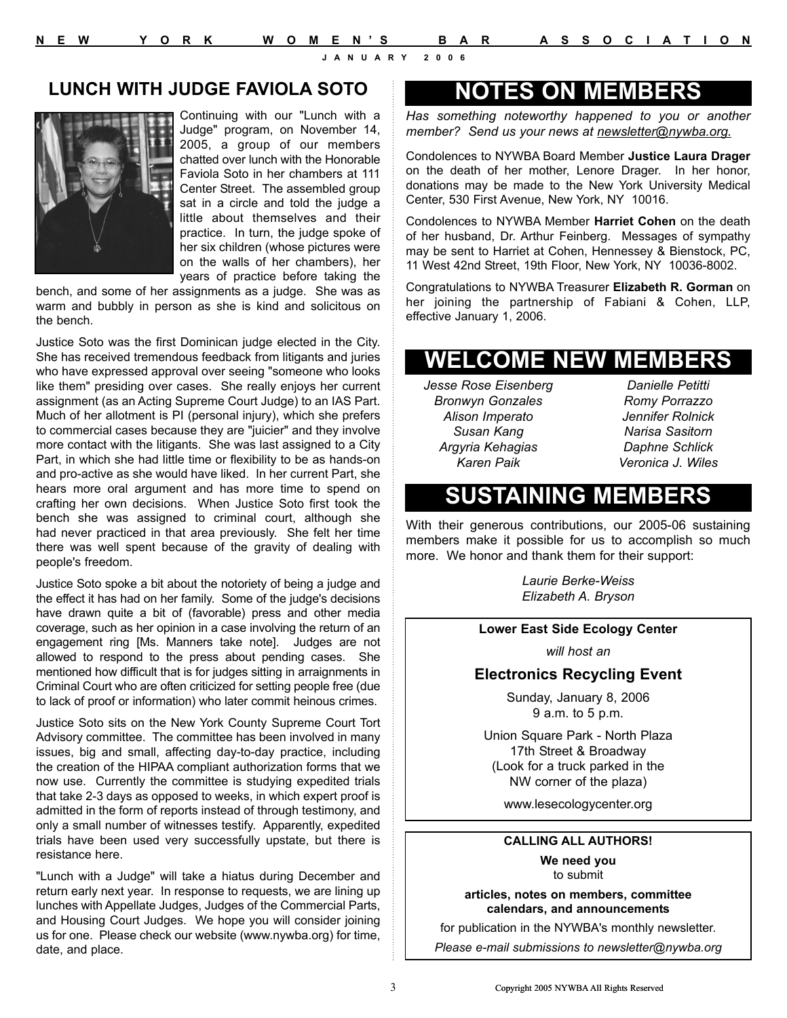### **LUNCH WITH JUDGE FAVIOLA SOTO**



Continuing with our "Lunch with a Judge" program, on November 14, 2005, a group of our members chatted over lunch with the Honorable Faviola Soto in her chambers at 111 Center Street. The assembled group sat in a circle and told the judge a little about themselves and their practice. In turn, the judge spoke of her six children (whose pictures were on the walls of her chambers), her years of practice before taking the

bench, and some of her assignments as a judge. She was as warm and bubbly in person as she is kind and solicitous on the bench.

Justice Soto was the first Dominican judge elected in the City. She has received tremendous feedback from litigants and juries who have expressed approval over seeing "someone who looks like them" presiding over cases. She really enjoys her current assignment (as an Acting Supreme Court Judge) to an IAS Part. Much of her allotment is PI (personal injury), which she prefers to commercial cases because they are "juicier" and they involve more contact with the litigants. She was last assigned to a City Part, in which she had little time or flexibility to be as hands-on and pro-active as she would have liked. In her current Part, she hears more oral argument and has more time to spend on crafting her own decisions. When Justice Soto first took the bench she was assigned to criminal court, although she had never practiced in that area previously. She felt her time there was well spent because of the gravity of dealing with people's freedom.

Justice Soto spoke a bit about the notoriety of being a judge and the effect it has had on her family. Some of the judge's decisions have drawn quite a bit of (favorable) press and other media coverage, such as her opinion in a case involving the return of an engagement ring [Ms. Manners take note]. Judges are not allowed to respond to the press about pending cases. She mentioned how difficult that is for judges sitting in arraignments in Criminal Court who are often criticized for setting people free (due to lack of proof or information) who later commit heinous crimes.

Justice Soto sits on the New York County Supreme Court Tort Advisory committee. The committee has been involved in many issues, big and small, affecting day-to-day practice, including the creation of the HIPAA compliant authorization forms that we now use. Currently the committee is studying expedited trials that take 2-3 days as opposed to weeks, in which expert proof is admitted in the form of reports instead of through testimony, and only a small number of witnesses testify. Apparently, expedited trials have been used very successfully upstate, but there is resistance here.

"Lunch with a Judge" will take a hiatus during December and return early next year. In response to requests, we are lining up lunches with Appellate Judges, Judges of the Commercial Parts, and Housing Court Judges. We hope you will consider joining us for one. Please check our website (www.nywba.org) for time, date, and place.

## **NOTES ON MEMBERS**

*Has something noteworthy happened to you or another member? Send us your news at newsletter@nywba.org.*

Condolences to NYWBA Board Member **Justice Laura Drager** on the death of her mother, Lenore Drager. In her honor, donations may be made to the New York University Medical Center, 530 First Avenue, New York, NY 10016.

Condolences to NYWBA Member **Harriet Cohen** on the death of her husband, Dr. Arthur Feinberg. Messages of sympathy may be sent to Harriet at Cohen, Hennessey & Bienstock, PC, 11 West 42nd Street, 19th Floor, New York, NY 10036-8002.

Congratulations to NYWBA Treasurer **Elizabeth R. Gorman** on her joining the partnership of Fabiani & Cohen, LLP, effective January 1, 2006.

# **WELCOME NEW MEMBERS**

*Jesse Rose Eisenberg Bronwyn Gonzales Alison Imperato Susan Kang Argyria Kehagias Karen Paik*

*Danielle Petitti Romy Porrazzo Jennifer Rolnick Narisa Sasitorn Daphne Schlick Veronica J. Wiles*

## **SUSTAINING MEMBERS**

With their generous contributions, our 2005-06 sustaining members make it possible for us to accomplish so much more. We honor and thank them for their support:

> *Laurie Berke-Weiss Elizabeth A. Bryson*

#### **Lower East Side Ecology Center**

*will host an*

#### **Electronics Recycling Event**

Sunday, January 8, 2006 9 a.m. to 5 p.m.

Union Square Park - North Plaza 17th Street & Broadway (Look for a truck parked in the NW corner of the plaza)

www.lesecologycenter.org

### **CALLING ALL AUTHORS!**

**We need you**  to submit

**articles, notes on members, committee calendars, and announcements**

for publication in the NYWBA's monthly newsletter.

*Please e-mail submissions to newsletter@nywba.org*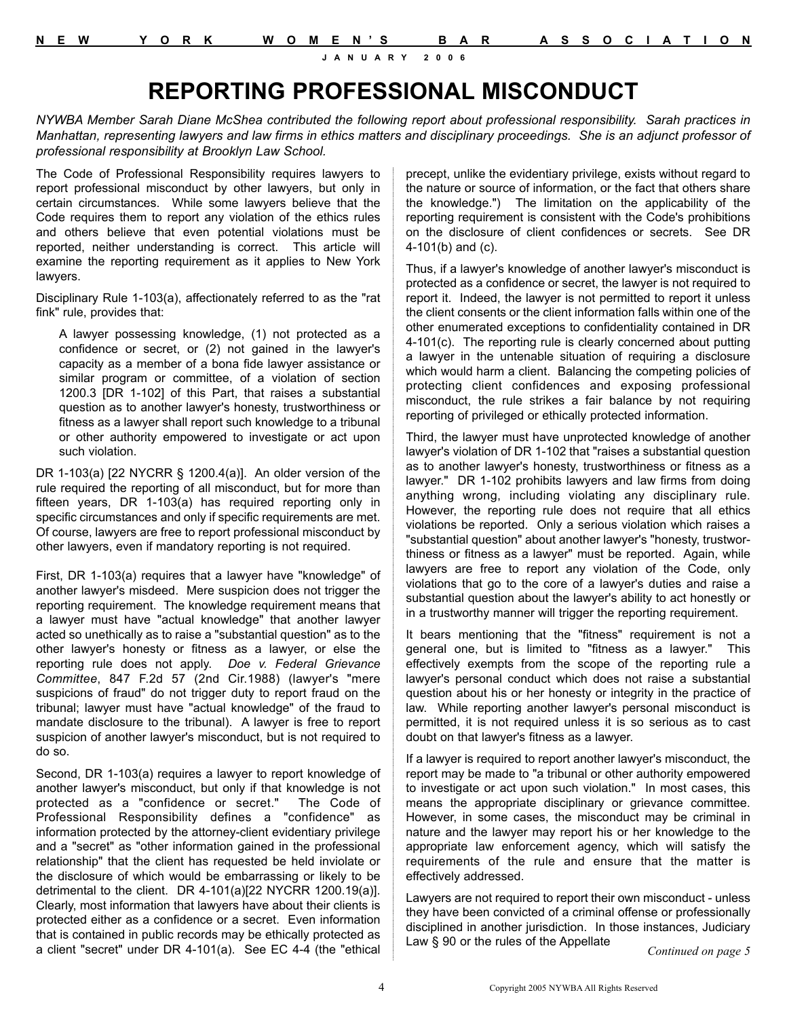# **REPORTING PROFESSIONAL MISCONDUCT**

*NYWBA Member Sarah Diane McShea contributed the following report about professional responsibility. Sarah practices in Manhattan, representing lawyers and law firms in ethics matters and disciplinary proceedings. She is an adjunct professor of professional responsibility at Brooklyn Law School.*

The Code of Professional Responsibility requires lawyers to report professional misconduct by other lawyers, but only in certain circumstances. While some lawyers believe that the Code requires them to report any violation of the ethics rules and others believe that even potential violations must be reported, neither understanding is correct. This article will examine the reporting requirement as it applies to New York lawyers.

Disciplinary Rule 1-103(a), affectionately referred to as the "rat fink" rule, provides that:

A lawyer possessing knowledge, (1) not protected as a confidence or secret, or (2) not gained in the lawyer's capacity as a member of a bona fide lawyer assistance or similar program or committee, of a violation of section 1200.3 [DR 1-102] of this Part, that raises a substantial question as to another lawyer's honesty, trustworthiness or fitness as a lawyer shall report such knowledge to a tribunal or other authority empowered to investigate or act upon such violation.

DR 1-103(a) [22 NYCRR § 1200.4(a)]. An older version of the rule required the reporting of all misconduct, but for more than fifteen years, DR 1-103(a) has required reporting only in specific circumstances and only if specific requirements are met. Of course, lawyers are free to report professional misconduct by other lawyers, even if mandatory reporting is not required.

First, DR 1-103(a) requires that a lawyer have "knowledge" of another lawyer's misdeed. Mere suspicion does not trigger the reporting requirement. The knowledge requirement means that a lawyer must have "actual knowledge" that another lawyer acted so unethically as to raise a "substantial question" as to the other lawyer's honesty or fitness as a lawyer, or else the reporting rule does not apply. *Doe v. Federal Grievance Committee*, 847 F.2d 57 (2nd Cir.1988) (lawyer's "mere suspicions of fraud" do not trigger duty to report fraud on the tribunal; lawyer must have "actual knowledge" of the fraud to mandate disclosure to the tribunal). A lawyer is free to report suspicion of another lawyer's misconduct, but is not required to do so.

Second, DR 1-103(a) requires a lawyer to report knowledge of another lawyer's misconduct, but only if that knowledge is not protected as a "confidence or secret." The Code of Professional Responsibility defines a "confidence" as information protected by the attorney-client evidentiary privilege and a "secret" as "other information gained in the professional relationship" that the client has requested be held inviolate or the disclosure of which would be embarrassing or likely to be detrimental to the client. DR 4-101(a)[22 NYCRR 1200.19(a)]. Clearly, most information that lawyers have about their clients is protected either as a confidence or a secret. Even information that is contained in public records may be ethically protected as a client "secret" under DR 4-101(a). See EC 4-4 (the "ethical

precept, unlike the evidentiary privilege, exists without regard to the nature or source of information, or the fact that others share the knowledge.") The limitation on the applicability of the reporting requirement is consistent with the Code's prohibitions on the disclosure of client confidences or secrets. See DR 4-101(b) and (c).

Thus, if a lawyer's knowledge of another lawyer's misconduct is protected as a confidence or secret, the lawyer is not required to report it. Indeed, the lawyer is not permitted to report it unless the client consents or the client information falls within one of the other enumerated exceptions to confidentiality contained in DR 4-101(c). The reporting rule is clearly concerned about putting a lawyer in the untenable situation of requiring a disclosure which would harm a client. Balancing the competing policies of protecting client confidences and exposing professional misconduct, the rule strikes a fair balance by not requiring reporting of privileged or ethically protected information.

Third, the lawyer must have unprotected knowledge of another lawyer's violation of DR 1-102 that "raises a substantial question as to another lawyer's honesty, trustworthiness or fitness as a lawyer." DR 1-102 prohibits lawyers and law firms from doing anything wrong, including violating any disciplinary rule. However, the reporting rule does not require that all ethics violations be reported. Only a serious violation which raises a "substantial question" about another lawyer's "honesty, trustworthiness or fitness as a lawyer" must be reported. Again, while lawyers are free to report any violation of the Code, only violations that go to the core of a lawyer's duties and raise a substantial question about the lawyer's ability to act honestly or in a trustworthy manner will trigger the reporting requirement.

It bears mentioning that the "fitness" requirement is not a general one, but is limited to "fitness as a lawyer." This effectively exempts from the scope of the reporting rule a lawyer's personal conduct which does not raise a substantial question about his or her honesty or integrity in the practice of law. While reporting another lawyer's personal misconduct is permitted, it is not required unless it is so serious as to cast doubt on that lawyer's fitness as a lawyer.

If a lawyer is required to report another lawyer's misconduct, the report may be made to "a tribunal or other authority empowered to investigate or act upon such violation." In most cases, this means the appropriate disciplinary or grievance committee. However, in some cases, the misconduct may be criminal in nature and the lawyer may report his or her knowledge to the appropriate law enforcement agency, which will satisfy the requirements of the rule and ensure that the matter is effectively addressed.

Lawyers are not required to report their own misconduct - unless they have been convicted of a criminal offense or professionally disciplined in another jurisdiction. In those instances, Judiciary Law § 90 or the rules of the Appellate

*Continued on page 5*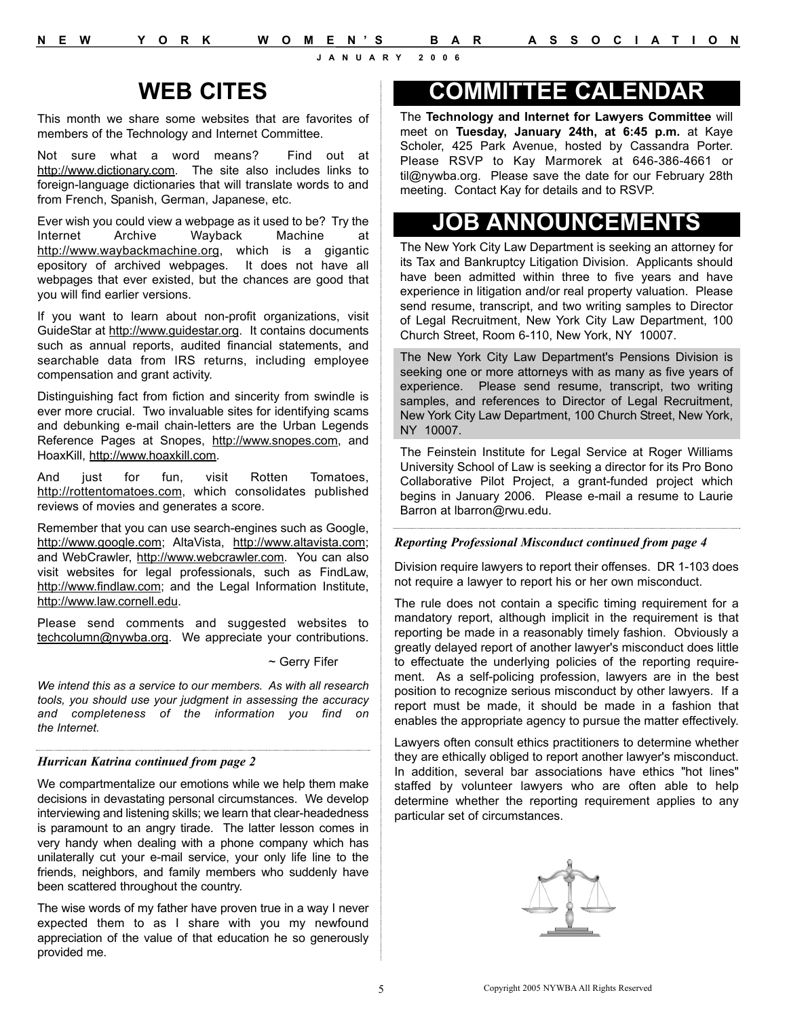# **WEB CITES**

This month we share some websites that are favorites of members of the Technology and Internet Committee.

Not sure what a word means? Find out at http://www.dictionary.com. The site also includes links to foreign-language dictionaries that will translate words to and from French, Spanish, German, Japanese, etc.

Ever wish you could view a webpage as it used to be? Try the<br>Internet Archive Wavback Machine at Internet Archive Wayback Machine at http://www.waybackmachine.org, which is a gigantic epository of archived webpages. It does not have all webpages that ever existed, but the chances are good that you will find earlier versions.

If you want to learn about non-profit organizations, visit GuideStar at http://www.guidestar.org. It contains documents such as annual reports, audited financial statements, and searchable data from IRS returns, including employee compensation and grant activity.

Distinguishing fact from fiction and sincerity from swindle is ever more crucial. Two invaluable sites for identifying scams and debunking e-mail chain-letters are the Urban Legends Reference Pages at Snopes, http://www.snopes.com, and HoaxKill, http://www.hoaxkill.com.

And just for fun, visit Rotten Tomatoes, http://rottentomatoes.com, which consolidates published reviews of movies and generates a score.

Remember that you can use search-engines such as Google, http://www.google.com; AltaVista, http://www.altavista.com; and WebCrawler, http://www.webcrawler.com. You can also visit websites for legal professionals, such as FindLaw, http://www.findlaw.com; and the Legal Information Institute, http://www.law.cornell.edu.

Please send comments and suggested websites to techcolumn@nywba.org. We appreciate your contributions.

~ Gerry Fifer

*We intend this as a service to our members. As with all research tools, you should use your judgment in assessing the accuracy and completeness of the information you find on the Internet.*

#### *Hurrican Katrina continued from page 2*

We compartmentalize our emotions while we help them make decisions in devastating personal circumstances. We develop interviewing and listening skills; we learn that clear-headedness is paramount to an angry tirade. The latter lesson comes in very handy when dealing with a phone company which has unilaterally cut your e-mail service, your only life line to the friends, neighbors, and family members who suddenly have been scattered throughout the country.

The wise words of my father have proven true in a way I never expected them to as I share with you my newfound appreciation of the value of that education he so generously provided me.

## **COMMITTEE CALENDAR**

The **Technology and Internet for Lawyers Committee** will meet on **Tuesday, January 24th, at 6:45 p.m.** at Kaye Scholer, 425 Park Avenue, hosted by Cassandra Porter. Please RSVP to Kay Marmorek at 646-386-4661 or til@nywba.org. Please save the date for our February 28th meeting. Contact Kay for details and to RSVP.

# **JOB ANNOUNCEMENTS**

The New York City Law Department is seeking an attorney for its Tax and Bankruptcy Litigation Division. Applicants should have been admitted within three to five years and have experience in litigation and/or real property valuation. Please send resume, transcript, and two writing samples to Director of Legal Recruitment, New York City Law Department, 100 Church Street, Room 6-110, New York, NY 10007.

The New York City Law Department's Pensions Division is seeking one or more attorneys with as many as five years of experience. Please send resume, transcript, two writing samples, and references to Director of Legal Recruitment, New York City Law Department, 100 Church Street, New York, NY 10007.

The Feinstein Institute for Legal Service at Roger Williams University School of Law is seeking a director for its Pro Bono Collaborative Pilot Project, a grant-funded project which begins in January 2006. Please e-mail a resume to Laurie Barron at lbarron@rwu.edu.

#### *Reporting Professional Misconduct continued from page 4*

Division require lawyers to report their offenses. DR 1-103 does not require a lawyer to report his or her own misconduct.

The rule does not contain a specific timing requirement for a mandatory report, although implicit in the requirement is that reporting be made in a reasonably timely fashion. Obviously a greatly delayed report of another lawyer's misconduct does little to effectuate the underlying policies of the reporting requirement. As a self-policing profession, lawyers are in the best position to recognize serious misconduct by other lawyers. If a report must be made, it should be made in a fashion that enables the appropriate agency to pursue the matter effectively.

Lawyers often consult ethics practitioners to determine whether they are ethically obliged to report another lawyer's misconduct. In addition, several bar associations have ethics "hot lines" staffed by volunteer lawyers who are often able to help determine whether the reporting requirement applies to any particular set of circumstances.